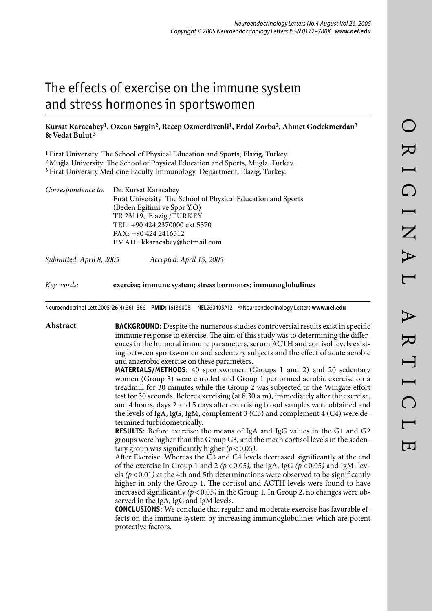# The effects of exercise on the immune system and stress hormones in sportswomen

## **Kursat Karacabey1, Ozcan Saygin2, Recep Ozmerdivenli1, Erdal Zorba2, Ahmet Godekmerdan3 & Vedat Bulut 3**

1 Firat University The School of Physical Education and Sports, Elazig, Turkey.

2 Muğla University The School of Physical Education and Sports, Mugla, Turkey.

3 Firat University Medicine Faculty Immunology Department, Elazig, Turkey.

| Correspondence to: Dr. Kursat Karacabey                      |
|--------------------------------------------------------------|
| Firat University The School of Physical Education and Sports |
| (Beden Egitimi ve Spor Y.O)                                  |
| TR 23119, Elazig /TURKEY                                     |
| TEL: +90 424 2370000 ext 5370                                |
| $FAX: +904242416512$                                         |
| EMAIL: kkaracabey@hotmail.com                                |
|                                                              |

*Submitted: April 8, 2005 Accepted: April 15, 2005*

*Key words:* **exercise; immune system; stress hormones; immunoglobulines**

Neuroendocrinol Lett 2005; **26**(4):361–366 **PMID:** 16136008 NEL260405A12 © Neuroendocrinology Letters **www.nel.edu**

**Abstract BACKGROUND**: Despite the numerous studies controversial results exist in specific immune response to exercise. The aim of this study was to determining the differences in the humoral immune parameters, serum ACTH and cortisol levels existing between sportswomen and sedentary subjects and the effect of acute aerobic and anaerobic exercise on these parameters.

> **MATERIALS/METHODS**: 40 sportswomen (Groups 1 and 2) and 20 sedentary women (Group 3) were enrolled and Group 1 performed aerobic exercise on a treadmill for 30 minutes while the Group 2 was subjected to the Wingate effort test for 30 seconds. Before exercising (at 8.30 a.m), immediately after the exercise, and 4 hours, days 2 and 5 days after exercising blood samples were obtained and the levels of IgA, IgG, IgM, complement 3 (C3) and complement 4 (C4) were determined turbidometrically.

> **RESULTS**: Before exercise: the means of IgA and IgG values in the G1 and G2 groups were higher than the Group G3, and the mean cortisol levels in the sedentary group was significantly higher  $(p < 0.05)$ .

> After Exercise: Whereas the C3 and C4 levels decreased significantly at the end of the exercise in Group 1 and 2 ( $p < 0.05$ ), the IgA, IgG ( $p < 0.05$ ) and IgM levels  $(p < 0.01)$  at the 4th and 5th determinations were observed to be significantly higher in only the Group 1. The cortisol and ACTH levels were found to have increased significantly *(p <* 0.05*)* in the Group 1*.* In Group 2, no changes were observed in the IgA, IgG and IgM levels.

> **CONCLUSIONS**: We conclude that regular and moderate exercise has favorable effects on the immune system by increasing immunoglobulines which are potent protective factors.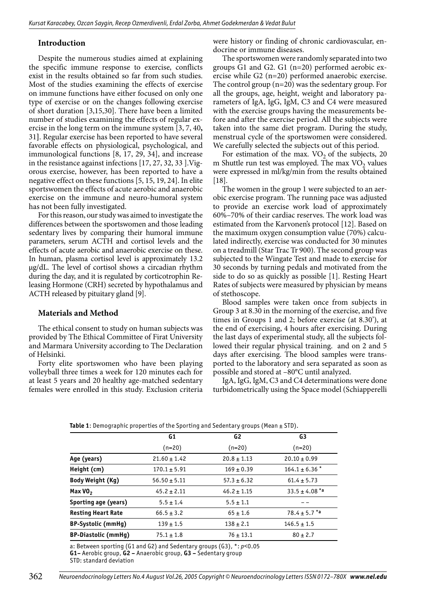### **Introduction**

Despite the numerous studies aimed at explaining the specific immune response to exercise, conflicts exist in the results obtained so far from such studies. Most of the studies examining the effects of exercise on immune functions have either focused on only one type of exercise or on the changes following exercise of short duration [3,15,30]. There have been a limited number of studies examining the effects of regular exercise in the long term on the immune system [3, 7, 40**,**  31**]**. Regular exercise has been reported to have several favorable effects on physiological, psychological, and immunological functions [8, 17, 29, 34], and increase in the resistance against infections [17, 27, 32, 33 ].Vigorous exercise, however, has been reported to have a negative effect on these functions [5, 15, 19, 24]. In elite sportswomen the effects of acute aerobic and anaerobic exercise on the immune and neuro-humoral system has not been fully investigated.

For this reason, our study was aimed to investigate the differences between the sportswomen and those leading sedentary lives by comparing their humoral immune parameters, serum ACTH and cortisol levels and the effects of acute aerobic and anaerobic exercise on these. In human, plasma cortisol level is approximately 13.2 µg/dL. The level of cortisol shows a circadian rhythm during the day, and it is regulated by corticotrophin Releasing Hormone (CRH) secreted by hypothalamus and ACTH released by pituitary gland [9].

## **Materials and Method**

The ethical consent to study on human subjects was provided by The Ethical Committee of Firat University and Marmara University according to The Declaration of Helsinki.

Forty elite sportswomen who have been playing volleyball three times a week for 120 minutes each for at least 5 years and 20 healthy age-matched sedentary females were enrolled in this study. Exclusion criteria were history or finding of chronic cardiovascular, endocrine or immune diseases.

The sportswomen were randomly separated into two groups G1 and G2. G1 (n=20) performed aerobic exercise while G2 (n=20) performed anaerobic exercise. The control group (n=20) was the sedentary group. For all the groups, age, height, weight and laboratory parameters of IgA, IgG, IgM, C3 and C4 were measured with the exercise groups having the measurements before and after the exercise period. All the subjects were taken into the same diet program. During the study, menstrual cycle of the sportswomen were considered. We carefully selected the subjects out of this period.

For estimation of the max.  $VO<sub>2</sub>$  of the subjects, 20 m Shuttle run test was employed. The max  $VO<sub>2</sub>$  values were expressed in ml/kg/min from the results obtained [18].

The women in the group 1 were subjected to an aerobic exercise program. The running pace was adjusted to provide an exercise work load of approximately 60%–70% of their cardiac reserves. The work load was estimated from the Karvonen's protocol [12]. Based on the maximum oxygen consumption value (70%) calculated indirectly, exercise was conducted for 30 minutes on a treadmill (Star Trac Tr 900). The second group was subjected to the Wingate Test and made to exercise for 30 seconds by turning pedals and motivated from the side to do so as quickly as possible [1]. Resting Heart Rates of subjects were measured by physician by means of stethoscope.

Blood samples were taken once from subjects in Group 3 at 8.30 in the morning of the exercise, and five times in Groups 1 and 2; before exercise (at 8.30'), at the end of exercising, 4 hours after exercising. During the last days of experimental study, all the subjects followed their regular physical training. and on 2 and 5 days after exercising. The blood samples were transported to the laboratory and sera separated as soon as possible and stored at –80°C until analyzed.

IgA, IgG, IgM, C3 and C4 determinations were done turbidometrically using the Space model (Schiapperelli

| <b>Table 1:</b> Demographic properties of the Sporting and Sedentary groups (Mean $\pm$ STD). |                  |                 |                    |  |
|-----------------------------------------------------------------------------------------------|------------------|-----------------|--------------------|--|
|                                                                                               | G1               | G <sub>2</sub>  | G3                 |  |
|                                                                                               | $(n=20)$         | $(n=20)$        | $(n=20)$           |  |
| Age (years)                                                                                   | $21.60 \pm 1.42$ | $20.8 \pm 1.13$ | $20.10 \pm 0.99$   |  |
| Height (cm)                                                                                   | $170.1 \pm 5.91$ | $169 \pm 0.39$  | $164.1 \pm 6.36$ * |  |
| Body Weight (Kg)                                                                              | $56.50 \pm 5.11$ | $57.3 \pm 6.32$ | $61.4 \pm 5.73$    |  |
| Max $V02$                                                                                     | $45.2 \pm 2.11$  | $46.2 \pm 1.15$ | $33.5 \pm 4.08$ *a |  |
| Sporting age (years)                                                                          | $5.5 \pm 1.4$    | $5.5 \pm 1.1$   |                    |  |
| <b>Resting Heart Rate</b>                                                                     | $66.5 \pm 3.2$   | $65 \pm 1.6$    | $78.4 \pm 5.7$ *a  |  |
| BP-Systolic (mmHg)                                                                            | $139 \pm 1.5$    | $138 \pm 2.1$   | $146.5 \pm 1.5$    |  |
| <b>BP-Diastolic (mmHg)</b>                                                                    | $75.1 \pm 1.8$   | $76 \pm 13.1$   | $80 \pm 2.7$       |  |

a: Between sporting (G1 and G2) and Sedentary groups (G3), \*: *p<*0.05 **G1–** Aerobic group, **G2 –** Anaerobic group, **G3 –** Sedentary group

STD: standard deviation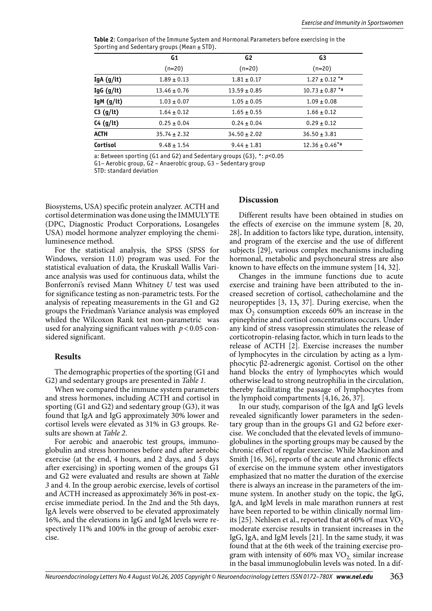**Table 2**: Comparison of the Immune System and Hormonal Parameters before exercising in the Sporting and Sedentary groups (Mean  $\pm$  STD).

|            | G1               | G2               | G3                             |
|------------|------------------|------------------|--------------------------------|
|            | $(n=20)$         | (n=20)           | $(n=20)$                       |
| IgA (g/lt) | $1.89 \pm 0.13$  | $1.81 \pm 0.17$  | $1.27 \pm 0.12$ *a             |
| IgG (g/lt) | $13.46 \pm 0.76$ | $13.59 \pm 0.85$ | $10.73 \pm 0.87$ *a            |
| IgM (g/lt) | $1.03 \pm 0.07$  | $1.05 \pm 0.05$  | $1.09 \pm 0.08$                |
| C3 (g/It)  | $1.64 \pm 0.12$  | $1.65 \pm 0.55$  | $1.66 \pm 0.12$                |
| C4 (g/It)  | $0.25 \pm 0.04$  | $0.24 \pm 0.04$  | $0.29 \pm 0.12$                |
| ACTH       | $35.74 \pm 2.32$ | $34.50 \pm 2.02$ | $36.50 \pm 3.81$               |
| Cortisol   | $9.48 \pm 1.54$  | $9.44 \pm 1.81$  | $12.36 \pm 0.46$ <sup>*a</sup> |

a: Between sporting (G1 and G2) and Sedentary groups (G3), \*: *p<*0.05

G1– Aerobic group, G2 – Anaerobic group, G3 – Sedentary group

STD: standard deviation

Biosystems, USA) specific protein analyzer. ACTH and cortisol determination was done using the IMMULYTE (DPC, Diagnostic Product Corporations, Losangeles USA) model hormone analyzer employing the chemiluminesence method.

For the statistical analysis, the SPSS (SPSS for Windows, version 11.0) program was used. For the statistical evaluation of data, the Kruskall Wallis Variance analysis was used for continuous data, whilst the Bonferroni's revised Mann Whitney *U* test was used for significance testing as non-parametric tests. For the analysis of repeating measurements in the G1 and G2 groups the Friedman's Variance analysis was employed whiled the Wilcoxon Rank test non-parametric was used for analyzing significant values with *p <* 0.05 considered significant.

#### **Results**

The demographic properties of the sporting (G1 and G2) and sedentary groups are presented in *Table 1*.

When we compared the immune system parameters and stress hormones, including ACTH and cortisol in sporting (G1 and G2) and sedentary group (G3), it was found that IgA and IgG approximately 30% lower and cortisol levels were elevated as 31% in G3 groups. Results are shown at *Table 2*.

For aerobic and anaerobic test groups, immunoglobulin and stress hormones before and after aerobic exercise (at the end, 4 hours, and 2 days, and 5 days after exercising) in sporting women of the groups G1 and G2 were evaluated and results are shown at *Table 3* and 4. In the group aerobic exercise, levels of cortisol and ACTH increased as approximately 36% in post-exercise immediate period. In the 2nd and the 5th days, IgA levels were observed to be elevated approximately 16%, and the elevations in IgG and IgM levels were respectively 11% and 100% in the group of aerobic exercise.

#### **Discussion**

Different results have been obtained in studies on the effects of exercise on the immune system [8, 20, 28]**.** In addition to factors like type, duration, intensity, and program of the exercise and the use of different subjects [29], various complex mechanisms including hormonal, metabolic and psychoneural stress are also known to have effects on the immune system [14, 32].

Changes in the immune functions due to acute exercise and training have been attributed to the increased secretion of cortisol, cathecholamine and the neuropeptides [3, 13**,** 37]. During exercise, when the max  $O_2$  consumption exceeds 60% an increase in the epinephrine and cortisol concentrations occurs. Under any kind of stress vasopressin stimulates the release of corticotropin-relasing factor, which in turn leads to the release of ACTH [2]. Exercise increases the number of lymphocytes in the circulation by acting as a lymphocytic β2-adrenergic agonist. Cortisol on the other hand blocks the entry of lymphocytes which would otherwise lead to strong neutrophilia in the circulation, thereby facilitating the passage of lymphocytes from the lymphoid compartments [4,16, 26, 37].

In our study, comparison of the IgA and IgG levels revealed significantly lower parameters in the sedentary group than in the groups G1 and G2 before exercise. We concluded that the elevated levels of immunoglobulines in the sporting groups may be caused by the chronic effect of regular exercise. While Mackinon and Smith [16, 36], reports of the acute and chronic effects of exercise on the immune system other investigators emphasized that no matter the duration of the exercise there is always an increase in the parameters of the immune system. In another study on the topic, the IgG, IgA, and IgM levels in male marathon runners at rest have been reported to be within clinically normal limits [25]. Nehlsen et al., reported that at 60% of max  $VO<sub>2</sub>$ moderate exercise results in transient increases in the IgG, IgA, and IgM levels [21]. In the same study, it was found that at the 6th week of the training exercise program with intensity of 60% max  $VO<sub>2</sub>$  similar increase in the basal immunoglobulin levels was noted. In a dif-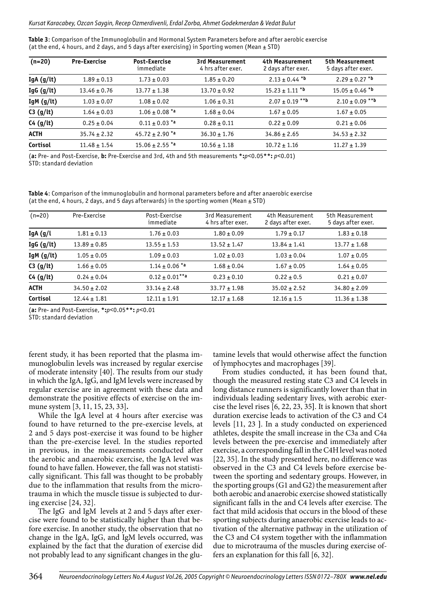#### Kursat Karacabey, Ozcan Saygin, Recep Ozmerdivenli, Erdal Zorba, Ahmet Godekmerdan & Vedat Bulut

**Table 3**: Comparison of the Immunoglobulin and Hormonal System Parameters before and after aerobic exercise (at the end, 4 hours, and 2 days, and 5 days after exercising) in Sporting women (Mean  $\pm$  STD)

| $(n=20)$     | <b>Pre-Exercise</b> | <b>Post-Exercise</b><br>immediate | 3rd Measurement<br>4 hrs after exer. | 4th Measurement<br>2 days after exer. | 5th Measurement<br>5 days after exer. |
|--------------|---------------------|-----------------------------------|--------------------------------------|---------------------------------------|---------------------------------------|
| IgA $(g/t)$  | $1.89 \pm 0.13$     | $1.73 \pm 0.03$                   | $1.85 \pm 0.20$                      | $2.13 \pm 0.44$ *b                    | $2.29 \pm 0.27$ *b                    |
| IgG $(g/lt)$ | $13.46 \pm 0.76$    | $13.77 \pm 1.38$                  | $13.70 \pm 0.92$                     | $15.23 \pm 1.11$ *b                   | $15.05 \pm 0.46$ *b                   |
| IgM $(g/lt)$ | $1.03 \pm 0.07$     | $1.08 \pm 0.02$                   | $1.06 \pm 0.31$                      | $2.07 \pm 0.19$ **b                   | $2.10 \pm 0.09$ **b                   |
| C3 (g/It)    | $1.64 \pm 0.03$     | $1.06 \pm 0.08$ *a                | $1.68 \pm 0.04$                      | $1.67 \pm 0.05$                       | $1.67 \pm 0.05$                       |
| C4 (g/lt)    | $0.25 \pm 0.04$     | $0.11 \pm 0.03$ *a                | $0.28 \pm 0.11$                      | $0.22 \pm 0.09$                       | $0.21 \pm 0.06$                       |
| <b>ACTH</b>  | $35.74 \pm 2.32$    | $45.72 \pm 2.90$ *a               | $36.30 \pm 1.76$                     | $34.86 \pm 2.65$                      | $34.53 \pm 2.32$                      |
| Cortisol     | $11.48 \pm 1.54$    | $15.06 \pm 2.55$ *a               | $10.56 \pm 1.18$                     | $10.72 \pm 1.16$                      | $11.27 \pm 1.39$                      |

(**a:** Pre- and Post-Exercise, **b:** Pre-Exercise and 3rd, 4th and 5th measurements **\*:***p<*0.05**\*\*:** *p<*0.01) STD: standard deviation

**Table 4**: Comparison of the immunoglobulin and hormonal parameters before and after anaerobic exercise (at the end, 4 hours, 2 days, and 5 days afterwards) in the sporting women (Mean  $\pm$  STD)

| $(n=20)$     | Pre-Exercise     | Post-Exercise<br>immediate | 3rd Measurement<br>4 hrs after exer. | 4th Measurement<br>2 days after exer. | 5th Measurement<br>5 days after exer. |
|--------------|------------------|----------------------------|--------------------------------------|---------------------------------------|---------------------------------------|
| $IgA$ (g/l   | $1.81 \pm 0.13$  | $1.76 \pm 0.03$            | $1.80 \pm 0.09$                      | $1.79 \pm 0.17$                       | $1.83 \pm 0.18$                       |
| IgG (g/It)   | $13.89 \pm 0.85$ | $13.55 \pm 1.53$           | $13.52 \pm 1.47$                     | $13.84 \pm 1.41$                      | $13.77 \pm 1.68$                      |
| IgM $(g/lt)$ | $1.05 \pm 0.05$  | $1.09 \pm 0.03$            | $1.02 \pm 0.03$                      | $1.03 \pm 0.04$                       | $1.07 \pm 0.05$                       |
| C3 (g/It)    | $1.66 \pm 0.05$  | $1.14 \pm 0.06$ *a         | $1.68 \pm 0.04$                      | $1.67 \pm 0.05$                       | $1.64 \pm 0.05$                       |
| C4 (g/lt)    | $0.24 \pm 0.04$  | $0.12 \pm 0.01$ **a        | $0.23 \pm 0.10$                      | $0.22 \pm 0.5$                        | $0.21 \pm 0.07$                       |
| <b>ACTH</b>  | $34.50 \pm 2.02$ | $33.14 \pm 2.48$           | $33.77 \pm 1.98$                     | $35.02 \pm 2.52$                      | $34.80 \pm 2.09$                      |
| Cortisol     | $12.44 \pm 1.81$ | $12.11 \pm 1.91$           | $12.17 \pm 1.68$                     | $12.16 \pm 1.5$                       | $11.36 \pm 1.38$                      |

(**a:** Pre- and Post-Exercise, **\*:***p<*0.05**\*\*:** *p<*0.01

STD: standard deviation

ferent study, it has been reported that the plasma immunoglobulin levels was increased by regular exercise of moderate intensity [40]. The results from our study in which the IgA, IgG, and IgM levels were increased by regular exercise are in agreement with these data and demonstrate the positive effects of exercise on the immune system [3, 11, 15, 23, 33]**.**

While the IgA level at 4 hours after exercise was found to have returned to the pre-exercise levels, at 2 and 5 days post-exercise it was found to be higher than the pre-exercise level. In the studies reported in previous, in the measurements conducted after the aerobic and anaerobic exercise, the IgA level was found to have fallen. However, the fall was not statistically significant. This fall was thought to be probably due to the inflammation that results from the microtrauma in which the muscle tissue is subjected to during exercise [24, 32].

The IgG and IgM levels at 2 and 5 days after exercise were found to be statistically higher than that before exercise. In another study, the observation that no change in the IgA, IgG, and IgM levels occurred, was explained by the fact that the duration of exercise did not probably lead to any significant changes in the glu-

tamine levels that would otherwise affect the function of lymphocytes and macrophages [39].

From studies conducted, it has been found that, though the measured resting state C3 and C4 levels in long distance runners is significantly lower than that in individuals leading sedentary lives, with aerobic exercise the level rises [6, 22, 23, 35**]**. It is known that short duration exercise leads to activation of the C3 and C4 levels [11, 23 **]**. In a study conducted on experienced athletes, despite the small increase in the C3a and C4a levels between the pre-exercise and immediately after exercise, a corresponding fall in the C4H level was noted [22, 35]. In the study presented here, no difference was observed in the C3 and C4 levels before exercise between the sporting and sedentary groups. However, in the sporting groups (G1 and G2) the measurement after both aerobic and anaerobic exercise showed statistically significant falls in the and C4 levels after exercise. The fact that mild acidosis that occurs in the blood of these sporting subjects during anaerobic exercise leads to activation of the alternative pathway in the utilization of the C3 and C4 system together with the inflammation due to microtrauma of the muscles during exercise offers an explanation for this fall [6, 32].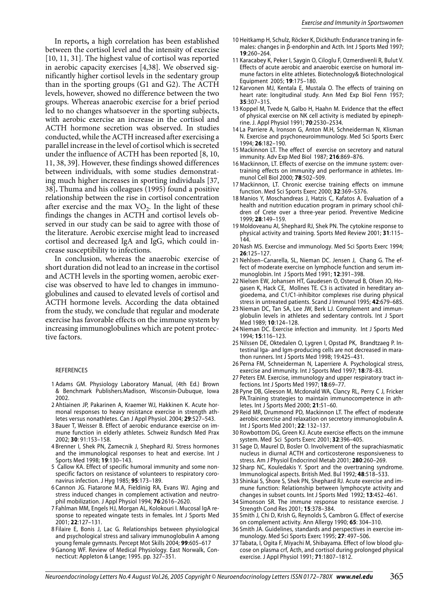In reports**,** a high correlation has been established between the cortisol level and the intensity of exercise [10, 11, 31]. The highest value of cortisol was reported in aerobic capacity exercises [4,38]. We observed significantly higher cortisol levels in the sedentary group than in the sporting groups (G1 and G2). The ACTH levels, however, showed no difference between the two groups. Whereas anaerobic exercise for a brief period led to no changes whatsoever in the sporting subjects, with aerobic exercise an increase in the cortisol and ACTH hormone secretion was observed. In studies conducted, while the ACTH increased after exercising a parallel increase in the level of cortisol which is secreted under the influence of ACTH has been reported [8, 10, 11, 38, 39**]**. However, these findings showed differences between individuals, with some studies demonstrating much higher increases in sporting individuals [37, 38]**.** Thuma and his colleagues (1995) found a positive relationship between the rise in cortisol concentration after exercise and the max  $VO<sub>2</sub>$ . In the light of these findings the changes in ACTH and cortisol levels observed in our study can be said to agree with those of the literature. Aerobic exercise might lead to increased cortisol and decreased IgA and IgG, which could increase susceptibility to infections.

In conclusion, whereas the anaerobic exercise of short duration did not lead to an increase in the cortisol and ACTH levels in the sporting women, aerobic exercise was observed to have led to changes in immunoglobulines and caused to elevated levels of cortisol and ACTH hormone levels. According the data obtained from the study, we conclude that regular and moderate exercise has favorable effects on the immune system by increasing immunoglobulines which are potent protective factors.

#### REFERENCES

- 1 Adams GM. Physiology Laboratory Manual, (4th Ed.) Brown & Benchmark Publishers.Madison, Wisconsin-Dubuque, Iowa 2002.
- 2 Ahtiainen JP, Pakarinen A, Kraemer WJ, Hakkinen K. Acute hormonal responses to heavy resistance exercise in strength athletes versus nonathletes. Can J Appl Physiol. 2004; **29**:527–543.
- 3 Bauer T, Weisser B. Effect of aerobic endurance exercise on immune function in elderly athletes. Schweiz Rundsch Med Prax 2002; **30**: 91:153–158.
- 4 Brenner I, Shek PN, Zamecnik J, Shephard RJ. Stress hormones and the immunological responses to heat and exercise. Int J Sports Med 1998; **19**:130–143.
- 5 Callow KA. Effect of specific humoral immunity and some nonspecific factors on resistance of volunteers to respiratory coronavirus infection. J Hyg 1985; **95**:173–189.
- 6 Cannon JG. Fiatarone M.A, Fieldinig RA, Evans WJ. Aging and stress induced changes in complement activation and neutrophil mobilization. J Appl Physiol 1994; **76**:2616–2620.
- 7 Fahlman MM, Engels HJ, Morgan AL, Kolokouri I. Mucosal IgA response to repeated wingate tests in females. Int J Sports Med 2001; **22**:127–131.
- 8 Filaire E, Bonis J, Lac G. Relationships between physiological and psychological stress and salivary immunoglobulin A among young female gymnasts. Percept Mot Skills 2004; **99**:605–617
- 9 Ganong WF. Review of Medical Physiology. East Norwalk, Connecticut: Appleton & Lange; 1995. pp. 327–351.
- 10 Heitkamp H, Schulz, Röcker K, Dickhuth: Endurance traning in females: changes in β-endorphin and Acth. Int J Sports Med 1997; **19**:260–264.
- 11 Karacabey K, Peker I, Saygin O, Ciloglu F, Ozmerdivenli R, Bulut V. Effects of acute aerobic and anaerobic exercise on humoral immune factors in elite athletes. Biotechnology& Biotechnological Equipment 2005; **19**:175–180.
- 12 Karvonen MJ, Kentala E, Mustala O. The effects of training on heart rate: longitudinal study. Ann Med Exp Biol Fenn 1957; **35**:307–315.
- 13 Koppel M, Tvede N, Galbo H, Haahn M. Evidence that the effect of physical exercise on NK cell activity is mediated by epinephrine. J. Appl Physiol 1991; **70**:2530–2534.
- 14 La Parriere A, Ironson G, Anton M.H, Schneiderman N, Klisman N. Exercise and psychoneuroimmunology. Med Sci Sports Exerc 1994; **26**:182–190.
- 15 Mackinnon LT. The effect of exercise on secretory and natural immunity. Adv Exp Med Biol 1987; **216**:869–876.
- 16 Mackinnon, LT. Effects of exercise on the immune system: overtraining effects on immunity and performance in athletes. Immunol Cell Biol 2000; **78**:502–509.
- 17 Mackinnon, LT. Chronic exercise training effects on immune function. Med Sci Sports Exerc 2000; **32**:369–S376.
- 18 Manios Y, Moschandreas J, Hatzis C, Kafatos A. Evaluation of a health and nutrition education program in primary school children of Crete over a three-year period. Preventive Medicine 1999; **28**:149–159.
- 19 Moldoveanu AI, Shephard RJ, Shek PN. The cytokine response to physical activity and training. Sports Med Review 2001; **31**:115– 144.
- 20 Nash MS. Exercise and immunology. Med Sci Sports Exerc 1994; **26**:125–127.
- 21 Nehlsen–Canarella, SL, Nieman DC. Jensen J, Chang G. The effect of moderate exercise on lymphocle function and serum immunoglobin. Int J Sports Med 1991; **12**:391–398.
- 22 Nielsen EW, Johansen HT, Gaudesen O, Osterud B, Olsen JO, Hogasen K, Hack CE, Mollnes TE. C3 is activated in hereditary angioedema, and C1/C1-inhibitor complexes rise during physical stress in untreated patients. Scand J Immunol 1995; **42**:679–685.
- 23 Nieman DC, Tan SA, Lee JW, Berk LJ. Complement and immunglobulin levels in athletes and sedentary controls. Int J Sport Med 1989; **10**:124–128.
- 24 Nieman DC. Exercise infection and immunity. Int J Sports Med 1994; **15**:116–123.
- 25 Nilssen DE, Oktedalen O, Lygren I, Opstad PK, Brandtzaeg P. Intestinal Iga- and Igm-producing cells are not decreased in marathon runners. Int J Sports Med 1998; 19:425–431.
- 26 Perna FM, Schneiderman N, Laperriere A. Psychological stress, exercise and immunity. Int J Sports Med 1997; **18**:78–83.
- 27 Peters EM. Exercise, immunology and upper respiratory tract infections. Int J Sports Med 1997; **18**:69–77.
- 28 Pyne DB, Gleeson M, Mcdonald WA, Clancy RL, Perry C J, Fricker PA.Training strategies to maintain immunocompetence in athletes. Int J Sports Med 2000; **21**:51–60.
- 29 Reid MR, Drummond PD, Mackinnon LT. The effect of moderate aerobic exercise and relaxation on secretory immunoglobulin A. Int J Sports Med 2001; **22**: 132–137.
- 30 Rowbottom DG, Green KJ. Acute exercise effects on the immune system. Med Sci Sports Exerc 2001; **32**:396–405.
- 31 Sage D, Maurel D, Bosler O. Involvement of the suprachiasmatic nucleus in diurnal ACTH and corticosterone responsiveness to stress. Am J Physiol Endocrinol Metab 2001; **280**:260–269.
- 32 Sharp NC, Kouledakis Y. Sport and the overtraning syndrome. Immunological aspects. British Med. Bul 1992; **48**:518–533.
- 33 Shinkai S, Shore S, Shek PN, Shephard RJ. Acute exercise and immune function: Relationship between lymphocyte activity and changes in subset counts. Int J Sports Med 1992; **13**:452–461.
- 34 Simonson SR. The immune response to resistance exercise. J Strength Cond Res 2001; **15**:378–384.
- 35 Smith J, Chi D, Krish G, Reynolds S, Cambron G. Effect of exercise on complement activity. Ann Allergy 1990; **65**: 304–310.
- 36 Smith JA. Guidelines, standards and perspectives in exercise immunology. Med Sci Sports Exerc 1995; **27**: 497–506.
- 37 Tabata, I, Ogita F, Miyachi M, Shibayama. Effect of low blood glucose on plasma crf, Acth, and cortisol during prolonged physical exercise. J Appl Physiol 1991; **71**:1807–1812.